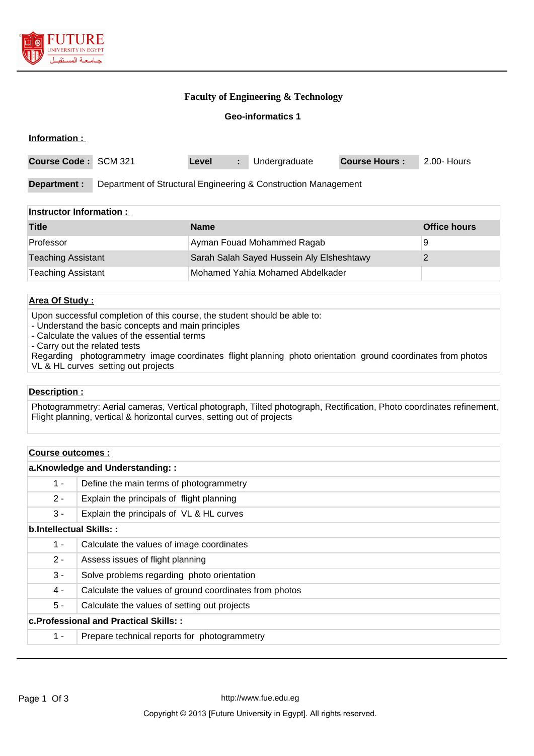

#### **Faculty of Engineering & Technology**

**Geo-informatics 1**

| Information :        |                                                                |       |    |               |                      |             |
|----------------------|----------------------------------------------------------------|-------|----|---------------|----------------------|-------------|
| Course Code: SCM 321 |                                                                | Level | ÷. | Undergraduate | <b>Course Hours:</b> | 2.00- Hours |
| Department :         | Department of Structural Engineering & Construction Management |       |    |               |                      |             |
|                      |                                                                |       |    |               |                      |             |

#### **Instructor Information :**

| <b>Title</b>              | <b>Name</b>                               | <b>Office hours</b> |
|---------------------------|-------------------------------------------|---------------------|
| Professor                 | Ayman Fouad Mohammed Ragab                | 9                   |
| <b>Teaching Assistant</b> | Sarah Salah Sayed Hussein Aly Elsheshtawy |                     |
| Teaching Assistant        | Mohamed Yahia Mohamed Abdelkader          |                     |

#### **Area Of Study :**

Upon successful completion of this course, the student should be able to:

- Understand the basic concepts and main principles
- Calculate the values of the essential terms

- Carry out the related tests

Regarding photogrammetry image coordinates flight planning photo orientation ground coordinates from photos VL & HL curves setting out projects

#### **Description :**

Photogrammetry: Aerial cameras, Vertical photograph, Tilted photograph, Rectification, Photo coordinates refinement, Flight planning, vertical & horizontal curves, setting out of projects

#### **Course outcomes :**

| a.Knowledge and Understanding::              |                                                        |  |  |
|----------------------------------------------|--------------------------------------------------------|--|--|
| $1 -$                                        | Define the main terms of photogrammetry                |  |  |
| $2 -$                                        | Explain the principals of flight planning              |  |  |
| $3 -$                                        | Explain the principals of VL & HL curves               |  |  |
| b.Intellectual Skills::                      |                                                        |  |  |
| $1 -$                                        | Calculate the values of image coordinates              |  |  |
| $2 -$                                        | Assess issues of flight planning                       |  |  |
| $3 -$                                        | Solve problems regarding photo orientation             |  |  |
| 4 -                                          | Calculate the values of ground coordinates from photos |  |  |
| 5 -                                          | Calculate the values of setting out projects           |  |  |
| <b>c.Professional and Practical Skills::</b> |                                                        |  |  |
| $1 -$                                        | Prepare technical reports for photogrammetry           |  |  |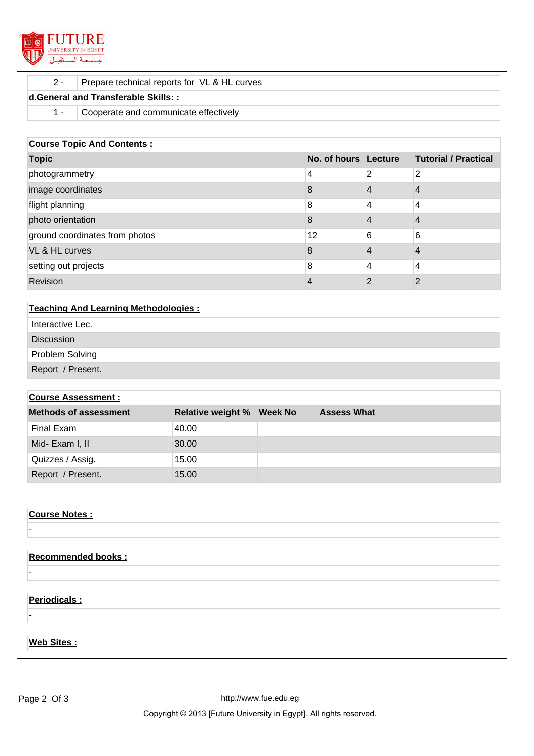

#### 2 - Prepare technical reports for VL & HL curves

## **d.General and Transferable Skills: :**

1 - Cooperate and communicate effectively

#### **Course Topic And Contents :**

| <b>Topic</b>                   | No. of hours Lecture |   | <b>Tutorial / Practical</b> |
|--------------------------------|----------------------|---|-----------------------------|
| photogrammetry                 | 4                    | 2 | 2                           |
| image coordinates              | 8                    |   | 4                           |
| flight planning                | 8                    | 4 | 4                           |
| photo orientation              | 8                    |   | 4                           |
| ground coordinates from photos | 12                   | 6 | 6                           |
| VL & HL curves                 | 8                    |   | 4                           |
| setting out projects           | 8                    | 4 | 4                           |
| Revision                       | 4                    | າ | ⌒                           |

| <b>Teaching And Learning Methodologies:</b> |  |  |
|---------------------------------------------|--|--|
| Interactive Lec.                            |  |  |
| <b>Discussion</b>                           |  |  |
| Problem Solving                             |  |  |
| Report / Present.                           |  |  |
|                                             |  |  |

# **Course Assessment : Methods of assessment Relative weight % Week No Assess What** Final Exam 40.00 Mid- Exam I, II 30.00 Quizzes / Assig. 15.00 Report / Present. 15.00

# **Course Notes :** -

### **Recommended books :**

## **Periodicals :**

-

-

#### **Web Sites :**